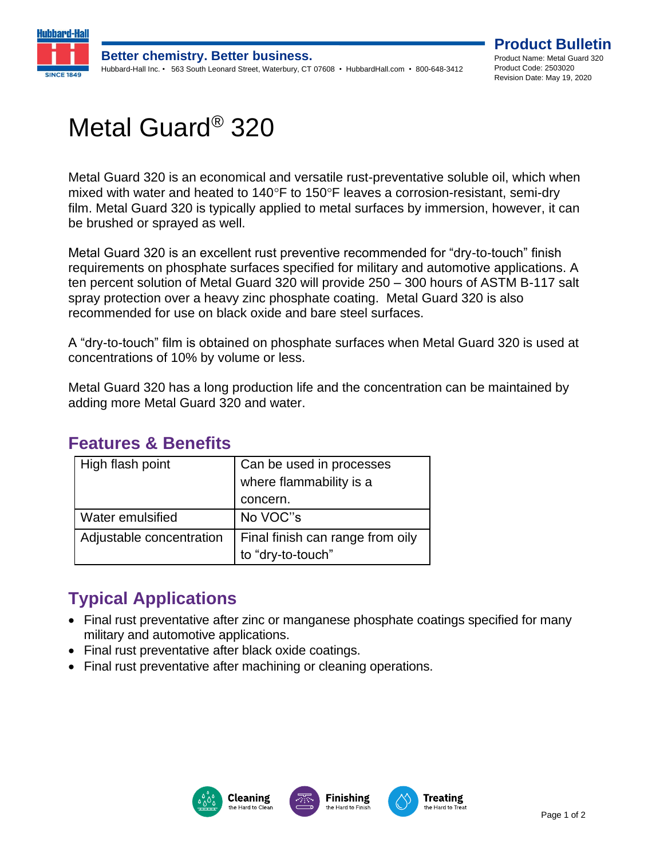

# Metal Guard® 320

Metal Guard 320 is an economical and versatile rust-preventative soluble oil, which when mixed with water and heated to 140 $\degree$ F to 150 $\degree$ F leaves a corrosion-resistant, semi-dry film. Metal Guard 320 is typically applied to metal surfaces by immersion, however, it can be brushed or sprayed as well.

Metal Guard 320 is an excellent rust preventive recommended for "dry-to-touch" finish requirements on phosphate surfaces specified for military and automotive applications. A ten percent solution of Metal Guard 320 will provide 250 – 300 hours of ASTM B-117 salt spray protection over a heavy zinc phosphate coating. Metal Guard 320 is also recommended for use on black oxide and bare steel surfaces.

A "dry-to-touch" film is obtained on phosphate surfaces when Metal Guard 320 is used at concentrations of 10% by volume or less.

Metal Guard 320 has a long production life and the concentration can be maintained by adding more Metal Guard 320 and water.

#### **Features & Benefits**

| High flash point         | Can be used in processes         |
|--------------------------|----------------------------------|
|                          | where flammability is a          |
|                          | concern.                         |
| Water emulsified         | No VOC"s                         |
| Adjustable concentration | Final finish can range from oily |
|                          | to "dry-to-touch"                |

# **Typical Applications**

- Final rust preventative after zinc or manganese phosphate coatings specified for many military and automotive applications.
- Final rust preventative after black oxide coatings.
- Final rust preventative after machining or cleaning operations.